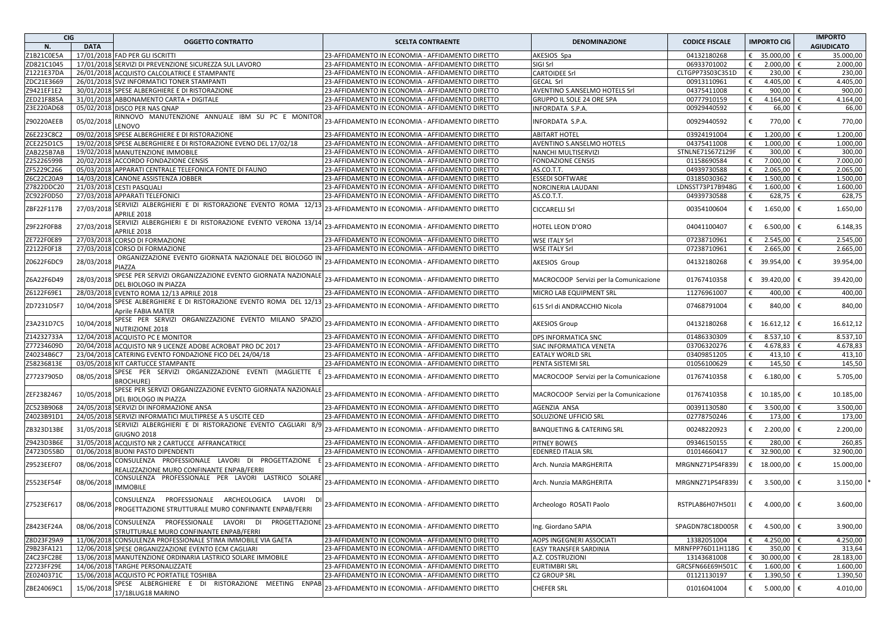| <b>CIG</b> |             | <b>OGGETTO CONTRATTO</b>                                                                                 | <b>SCELTA CONTRAENTE</b>                         | <b>DENOMINAZIONE</b>                   | <b>CODICE FISCALE</b> | <b>IMPORTO CIG</b> | <b>IMPORTO</b>    |
|------------|-------------|----------------------------------------------------------------------------------------------------------|--------------------------------------------------|----------------------------------------|-----------------------|--------------------|-------------------|
| N.         | <b>DATA</b> |                                                                                                          |                                                  |                                        |                       |                    | <b>AGIUDICATO</b> |
| Z1B21C0E5A |             | 17/01/2018 FAD PER GLI ISCRITTI                                                                          | 23-AFFIDAMENTO IN ECONOMIA - AFFIDAMENTO DIRETTO | AKESIOS Spa                            | 04132180268           | € 35.000,00        | 35.000,00<br>€    |
| ZD821C1045 |             | 17/01/2018 SERVIZI DI PREVENZIONE SICUREZZA SUL LAVORO                                                   | 23-AFFIDAMENTO IN ECONOMIA - AFFIDAMENTO DIRETTO | SIGI Srl                               | 06933701002           | €<br>2.000,00      | €<br>2.000,00     |
| Z1221E37DA |             | 26/01/2018 ACQUISTO CALCOLATRICE E STAMPANTE                                                             | 23-AFFIDAMENTO IN ECONOMIA - AFFIDAMENTO DIRETTO | <b>CARTOIDEE Srl</b>                   | CLTGPP73S03C351D      | €<br>230,00        | €<br>230,00       |
| ZDC21E3669 |             | 26/01/2018 SVZ INFORMATICI TONER STAMPANTI                                                               | 23-AFFIDAMENTO IN ECONOMIA - AFFIDAMENTO DIRETTO | <b>GECAL Srl</b>                       | 00913110961           | 4.405,00<br>€      | 4.405,00<br>€     |
| Z9421EF1E2 |             | 30/01/2018 SPESE ALBERGHIERE E DI RISTORAZIONE                                                           | 23-AFFIDAMENTO IN ECONOMIA - AFFIDAMENTO DIRETTO | AVENTINO S.ANSELMO HOTELS Srl          | 04375411008           | 900,00<br>€        | 900,00<br>€       |
| ZED21F885A |             | 31/01/2018 ABBONAMENTO CARTA + DIGITALE                                                                  | 23-AFFIDAMENTO IN ECONOMIA - AFFIDAMENTO DIRETTO | GRUPPO IL SOLE 24 ORE SPA              | 00777910159           | 4.164,00<br>€      | 4.164,00          |
| Z3E220AD68 |             | 05/02/2018 DISCO PER NAS QNAP                                                                            | 23-AFFIDAMENTO IN ECONOMIA - AFFIDAMENTO DIRETTO | INFORDATA S.P.A.                       | 00929440592           | €<br>66,00         | 66,00<br>€        |
|            |             | RINNOVO MANUTENZIONE ANNUALE IBM SU PC E MONITOF                                                         |                                                  |                                        |                       |                    |                   |
| Z90220AEEB | 05/02/201   | LENOVO                                                                                                   | 23-AFFIDAMENTO IN ECONOMIA - AFFIDAMENTO DIRETTO | INFORDATA S.P.A.                       | 00929440592           | €<br>770,00        | 770,00<br>€       |
| Z6E223C8C2 |             | 09/02/2018 SPESE ALBERGHIERE E DI RISTORAZIONE                                                           | 23-AFFIDAMENTO IN ECONOMIA - AFFIDAMENTO DIRETTO | <b>ABITART HOTEL</b>                   | 03924191004           | 1.200,00<br>€      | 1.200,00          |
| ZCE225D1C5 |             | 19/02/2018 SPESE ALBERGHIERE E DI RISTORAZIONE EVENO DEL 17/02/18                                        | 23-AFFIDAMENTO IN ECONOMIA - AFFIDAMENTO DIRETTO | AVENTINO S.ANSELMO HOTELS              | 04375411008           | €<br>1.000,00      | 1.000,00          |
| ZAB225B7AB |             | 19/02/2018 MANUTENZIONE IMMOBILE                                                                         | 23-AFFIDAMENTO IN ECONOMIA - AFFIDAMENTO DIRETTO | NANCHI MULTISERVIZI                    | STNLNE71S67Z129F      | €<br>300,00        | 300,00            |
| Z25226599B |             | 20/02/2018 ACCORDO FONDAZIONE CENSIS                                                                     | 23-AFFIDAMENTO IN ECONOMIA - AFFIDAMENTO DIRETTO | <b>FONDAZIONE CENSIS</b>               | 01158690584           | 7.000,00<br>€      | 7.000,00<br>€     |
| ZF5229C266 |             | 05/03/2018 APPARATI CENTRALE TELEFONICA FONTE DI FAUNO                                                   | 23-AFFIDAMENTO IN ECONOMIA - AFFIDAMENTO DIRETTO | AS.CO.T.T.                             | 04939730588           | 2.065,00<br>€      | 2.065,00          |
| Z6C22C20A9 |             | 14/03/2018 CANONE ASSISTENZA JOBBER                                                                      | 23-AFFIDAMENTO IN ECONOMIA - AFFIDAMENTO DIRETTO | <b>ESSEDI SOFTWARE</b>                 | 03185030362           | 1.500,00<br>€      | 1.500,00          |
| Z7822DDC20 |             | 21/03/2018 CESTI PASQUALI                                                                                | 23-AFFIDAMENTO IN ECONOMIA - AFFIDAMENTO DIRETTO | NORCINERIA LAUDANI                     | LDNSST73P17B948G      | 1.600,00<br>€      | 1.600,00<br>€     |
| ZC922F0D50 |             | 27/03/2018 APPARATI TELEFONICI                                                                           | 23-AFFIDAMENTO IN ECONOMIA - AFFIDAMENTO DIRETTO | AS.CO.T.T.                             | 04939730588           | 628,75<br>€        | 628,75<br>€       |
| ZBF22F117B | 27/03/201   | SERVIIZI ALBERGHIERI E DI RISTORAZIONE EVENTO ROMA 12/13<br>APRILE 2018                                  | 23-AFFIDAMENTO IN ECONOMIA - AFFIDAMENTO DIRETTO | <b>CICCARELLI Srl</b>                  | 00354100604           | 1.650,00<br>€      | 1.650,00<br>€     |
| Z9F22F0FB8 | 27/03/201   | SERVIIZI ALBERGHIERI E DI RISTORAZIONE EVENTO VERONA 13/14<br>APRILE 2018                                | 23-AFFIDAMENTO IN ECONOMIA - AFFIDAMENTO DIRETTO | HOTEL LEON D'ORO                       | 04041100407           | 6.500,00<br>€      | €<br>6.148,35     |
| ZE722F0E89 |             | 27/03/2018 CORSO DI FORMAZIONE                                                                           | 23-AFFIDAMENTO IN ECONOMIA - AFFIDAMENTO DIRETTO | <b>WSE ITALY Srl</b>                   | 07238710961           | 2.545,00<br>€      | 2.545,00          |
| Z2122F0F18 |             | 27/03/2018 CORSO DI FORMAZIONE                                                                           | 23-AFFIDAMENTO IN ECONOMIA - AFFIDAMENTO DIRETTO | <b>WSE ITALY Srl</b>                   | 07238710961           | 2.665,00<br>€      | 2.665,00<br>€     |
|            |             | ORGANIZZAZIONE EVENTO GIORNATA NAZIONALE DEL BIOLOGO IN                                                  |                                                  |                                        |                       |                    |                   |
| Z0622F6DC9 | 28/03/201   | PIAZZA                                                                                                   | 23-AFFIDAMENTO IN ECONOMIA - AFFIDAMENTO DIRETTO | AKESIOS Group                          | 04132180268           | € 39.954,00        | 39.954,00<br>€    |
| Z6A22F6D49 | 28/03/201   | SPESE PER SERVIZI ORGANIZZAZIONE EVENTO GIORNATA NAZIONALE<br>DEL BIOLOGO IN PIAZZA                      | 23-AFFIDAMENTO IN ECONOMIA - AFFIDAMENTO DIRETTO | MACROCOOP Servizi per la Comunicazione | 01767410358           | € 39.420,00        | 39.420,00<br>€    |
| Z6122F69E1 |             | 28/03/2018 EVENTO ROMA 12/13 APRILE 2018                                                                 | 23-AFFIDAMENTO IN ECONOMIA - AFFIDAMENTO DIRETTO | MICRO LAB EQUIPMENT SRL                | 11276961007           | 400,00<br>€        | 400,00<br>€       |
| ZD7231D5F7 | 10/04/2018  | SPESE ALBERGHIERE E DI RISTORAZIONE EVENTO ROMA DEL 12/13<br>Aprile FABIA MATER                          | 23-AFFIDAMENTO IN ECONOMIA - AFFIDAMENTO DIRETTO | 615 Srl di ANDRACCHIO Nicola           | 07468791004           | 840,00<br>€        | €<br>840,00       |
| Z3A231D7C5 | 10/04/2018  | SPESE PER SERVIZI ORGANIZZAZIONE EVENTO MILANO SPAZIO<br>NUTRIZIONE 2018                                 | 23-AFFIDAMENTO IN ECONOMIA - AFFIDAMENTO DIRETTO | <b>AKESIOS Group</b>                   | 04132180268           | € 16.612,12        | 16.612,12<br>€    |
| Z14232733A |             | 12/04/2018 ACQUISTO PC E MONITOR                                                                         | 23-AFFIDAMENTO IN ECONOMIA - AFFIDAMENTO DIRETTO | DPS INFORMATICA SNC                    | 01486330309           | 8.537,10<br>€      | €<br>8.537,10     |
| Z77234609D |             | 20/04/2018 ACQUISTO NR 9 LICENZE ADOBE ACROBAT PRO DC 2017                                               | 23-AFFIDAMENTO IN ECONOMIA - AFFIDAMENTO DIRETTO | SIAC INFORMATICA VENETA                | 03706320276           | 4.678,83<br>€      | €<br>4.678,83     |
| Z40234B6C7 |             | 23/04/2018 CATERING EVENTO FONDAZIONE FICO DEL 24/04/18                                                  | 23-AFFIDAMENTO IN ECONOMIA - AFFIDAMENTO DIRETTO | <b>EATALY WORLD SRL</b>                | 03409851205           | 413,10<br>€        | 413,10            |
| Z58236813E |             | 03/05/2018 KIT CARTUCCE STAMPANTE                                                                        | 23-AFFIDAMENTO IN ECONOMIA - AFFIDAMENTO DIRETTO | PENTA SISTEMI SRL                      | 01056100629           | €<br>145,50        | €<br>145,50       |
| Z77237905D | 08/05/201   | SPESE PER SERVIZI ORGANIZZAZIONE EVENTI (MAGLIETTE<br><b>BROCHURE)</b>                                   | 23-AFFIDAMENTO IN ECONOMIA - AFFIDAMENTO DIRETTO | MACROCOOP Servizi per la Comunicazione | 01767410358           | 6.180,00<br>€      | €<br>5.705,00     |
| ZEF2382467 | 10/05/201   | SPESE PER SERVIZI ORGANIZZAZIONE EVENTO GIORNATA NAZIONALE<br>DEL BIOLOGO IN PIAZZA                      | 23-AFFIDAMENTO IN ECONOMIA - AFFIDAMENTO DIRETTO | MACROCOOP Servizi per la Comunicazione | 01767410358           | € $10.185,00$      | €<br>10.185,00    |
| ZC523B9068 |             | 24/05/2018 SERVIZI DI INFORMAZIONE ANSA                                                                  | 23-AFFIDAMENTO IN ECONOMIA - AFFIDAMENTO DIRETTO | AGENZIA ANSA                           | 00391130580           | 3.500,00<br>€      | 3.500,00<br>€     |
| Z4023B91D1 |             | 24/05/2018 SERVIZI INFORMATICI MULTIPRESE A 5 USCITE CED                                                 | 23-AFFIDAMENTO IN ECONOMIA - AFFIDAMENTO DIRETTO | SOLUZIONE UFFICIO SRL                  | 02778750246           | €<br>173,00        | 173,00            |
| ZB323D13BE | 31/05/2018  | SERVIIZI ALBERGHIERI E DI RISTORAZIONE EVENTO CAGLIARI 8/9                                               | 23-AFFIDAMENTO IN ECONOMIA - AFFIDAMENTO DIRETTO | BANQUETING & CATERING SRL              | 00248220923           | 2.200,00<br>€      | €<br>2.200,00     |
| Z9423D3B6E |             | <b>GIUGNO 2018</b><br>31/05/2018 ACQUISTO NR 2 CARTUCCE AFFRANCATRICE                                    | 23-AFFIDAMENTO IN ECONOMIA - AFFIDAMENTO DIRETTO | <b>PITNEY BOWES</b>                    | 09346150155           | €<br>280,00        | 260,85            |
| Z4723D55BD |             | 01/06/2018 BUONI PASTO DIPENDENTI                                                                        | 23-AFFIDAMENTO IN ECONOMIA - AFFIDAMENTO DIRETTO | <b>EDENRED ITALIA SRL</b>              | 01014660417           | € 32.900,00        | 32.900,00         |
|            |             | CONSULENZA PROFESSIONALE LAVORI DI PROGETTAZIONE                                                         |                                                  |                                        |                       |                    |                   |
| Z9523EEF07 | 08/06/201   | REALIZZAZIONE MURO CONFINANTE ENPAB/FERRI                                                                | 23-AFFIDAMENTO IN ECONOMIA - AFFIDAMENTO DIRETTO | Arch. Nunzia MARGHERITA                | MRGNNZ71P54F839J      | € 18.000,00        | 15.000,00<br>€    |
|            |             | CONSULENZA PROFESSIONALE PER LAVORI LASTRICO SOLARE                                                      |                                                  |                                        |                       |                    |                   |
| Z5523EF54F | 08/06/201   | <b>IMMOBILE</b>                                                                                          | 23-AFFIDAMENTO IN ECONOMIA - AFFIDAMENTO DIRETTO | Arch. Nunzia MARGHERITA                | MRGNNZ71P54F839J      | 3.500,00<br>€      | 3.150,00<br>€     |
| Z7523EF617 | 08/06/2018  | CONSULENZA PROFESSIONALE ARCHEOLOGICA LAVORI DI<br>PROGETTAZIONE STRUTTURALE MURO CONFINANTE ENPAB/FERRI | 23-AFFIDAMENTO IN ECONOMIA - AFFIDAMENTO DIRETTO | Archeologo ROSATI Paolo                | RSTPLA86H07H501I      | € 4.000,00         | 3.600,00<br>€     |
| Z8423EF24A | 08/06/201   | PROGETTAZIONE<br>CONSULENZA PROFESSIONALE LAVORI DI<br>STRUTTURALE MURO CONFINANTE ENPAB/FERRI           | 23-AFFIDAMENTO IN ECONOMIA - AFFIDAMENTO DIRETTO | Ing. Giordano SAPIA                    | SPAGDN78C18D005R      | €<br>4.500,00      | €<br>3.900,00     |
| Z8D23F29A9 |             | 11/06/2018 CONSULENZA PROFESSIONALE STIMA IMMOBILE VIA GAETA                                             | 23-AFFIDAMENTO IN ECONOMIA - AFFIDAMENTO DIRETTO | AOPS INGEGNERI ASSOCIATI               | 13382051004           | 4.250,00<br>€      | €<br>4.250,00     |
| Z9B23FA121 |             | 12/06/2018 SPESE ORGANIZZAZIONE EVENTO ECM CAGLIARI                                                      | 23-AFFIDAMENTO IN ECONOMIA - AFFIDAMENTO DIRETTO | EASY TRANSFER SARDINIA                 | MRNFPP76D11H118G      | 350,00<br>€        | €<br>313,64       |
| Z4C23FC2BE |             | 13/06/2018 MANUTENZIONE ORDINARIA LASTRICO SOLARE IMMOBILE                                               | 23-AFFIDAMENTO IN ECONOMIA - AFFIDAMENTO DIRETTO | A.Z. COSTRUZIONI                       | 13143681008           | € 30.000,00        | €<br>28.183,00    |
| Z2723FF29E |             | 14/06/2018 TARGHE PERSONALIZZATE                                                                         | 23-AFFIDAMENTO IN ECONOMIA - AFFIDAMENTO DIRETTO | <b>EURTIMBRI SRL</b>                   | GRCSFN66E69H501C      | 1.600,00<br>€      | €<br>1.600,00     |
| ZE0240371C |             | 15/06/2018 ACQUISTO PC PORTATILE TOSHIBA                                                                 | 23-AFFIDAMENTO IN ECONOMIA - AFFIDAMENTO DIRETTO | <b>C2 GROUP SRL</b>                    | 01121130197           | 1.390,50<br>€      | €<br>1.390,50     |
| ZBE24069C1 | 15/06/201   | SPESE ALBERGHIERE E DI RISTORAZIONE MEETING ENPAB                                                        | 23-AFFIDAMENTO IN ECONOMIA - AFFIDAMENTO DIRETTO | CHEFER SRL                             | 01016041004           | € $5.000,00$       | €<br>4.010,00     |
|            |             | 17/18LUG18 MARINO                                                                                        |                                                  |                                        |                       |                    |                   |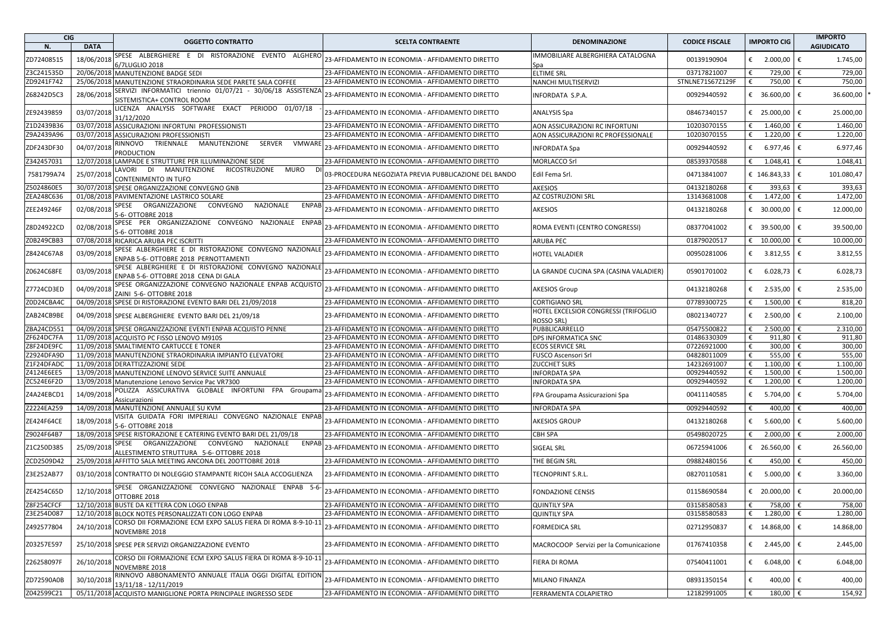| <b>CIG</b> |             | <b>OGGETTO CONTRATTO</b>                                                                               | <b>SCELTA CONTRAENTE</b>                              | <b>DENOMINAZIONE</b>                                      | <b>CODICE FISCALE</b> | <b>IMPORTO CIG</b> | <b>IMPORTO</b>    |  |
|------------|-------------|--------------------------------------------------------------------------------------------------------|-------------------------------------------------------|-----------------------------------------------------------|-----------------------|--------------------|-------------------|--|
| N.         | <b>DATA</b> |                                                                                                        |                                                       |                                                           |                       |                    | <b>AGIUDICATO</b> |  |
| ZD72408515 | 18/06/2018  | SPESE ALBERGHIERE E DI RISTORAZIONE EVENTO ALGHERO                                                     | 23-AFFIDAMENTO IN ECONOMIA - AFFIDAMENTO DIRETTO      | IMMOBILIARE ALBERGHIERA CATALOGNA                         | 00139190904           | € 2.000,00         | €<br>1.745,00     |  |
|            |             | 6/7LUGLIO 2018                                                                                         |                                                       | Spa                                                       |                       |                    |                   |  |
| Z3C241535D |             | 20/06/2018 MANUTENZIONE BADGE SEDI                                                                     | 23-AFFIDAMENTO IN ECONOMIA - AFFIDAMENTO DIRETTO      | <b>ELTIME SRL</b>                                         | 03717821007           | 729,00             | 729,00            |  |
| ZD9241F742 |             | 25/06/2018 MANUTENZIONE STRAORDINARIA SEDE PARETE SALA COFFEE                                          | 23-AFFIDAMENTO IN ECONOMIA - AFFIDAMENTO DIRETTO      | NANCHI MULTISERVIZI                                       | STNLNE71S67Z129F      | 750,00<br>€        | 750,00<br>€       |  |
| Z68242D5C3 | 28/06/201   | SERVIZI INFORMATICI triennio 01/07/21 - 30/06/18 ASSISTENZA<br>SISTEMISTICA+ CONTROL ROOM              | 23-AFFIDAMENTO IN ECONOMIA - AFFIDAMENTO DIRETTO      | INFORDATA S.P.A.                                          | 00929440592           | € 36.600,00        | 36.600,00<br>€    |  |
| ZE92439859 | 03/07/201   | LICENZA ANALYSIS SOFTWARE EXACT PERIODO 01/07/18<br>31/12/2020                                         | 23-AFFIDAMENTO IN ECONOMIA - AFFIDAMENTO DIRETTO      | <b>ANALYSIS Spa</b>                                       | 08467340157           | € 25.000,00        | €<br>25.000,00    |  |
| Z1D2439B36 |             | 03/07/2018 ASSICURAZIONI INFORTUNI PROFESSIONISTI                                                      | 23-AFFIDAMENTO IN ECONOMIA - AFFIDAMENTO DIRETTO      | AON ASSICURAZIONI RC INFORTUNI                            | 10203070155           | 1.460,00<br>€      | 1.460,00<br>€     |  |
| Z9A2439A96 |             | 03/07/2018 ASSICURAZIONI PROFESSIONISTI                                                                | 23-AFFIDAMENTO IN ECONOMIA - AFFIDAMENTO DIRETTO      | AON ASSICURAZIONI RC PROFESSIONALE                        | 10203070155           | €<br>1.220,00      | ∣€<br>1.220,00    |  |
| ZDF243DF30 | 04/07/201   | RINNOVO TRIENNALE MANUTENZIONE<br>SERVER<br>VMWARE<br><b>PRODUCTION</b>                                | 23-AFFIDAMENTO IN ECONOMIA - AFFIDAMENTO DIRETTO      | INFORDATA Spa                                             | 00929440592           | € 6.977,46         | €<br>6.977,46     |  |
| Z342457031 | 12/07/2018  | LAMPADE E STRUTTURE PER ILLUMINAZIONE SEDE                                                             | 23-AFFIDAMENTO IN ECONOMIA - AFFIDAMENTO DIRETTO      | <b>MORLACCO Srl</b>                                       | 08539370588           | 1.048,41<br>€      | 1.048,41<br>€     |  |
|            | 25/07/2018  | LAVORI DI MANUTENZIONE RICOSTRUZIONE<br>MURO<br>DI                                                     |                                                       | Edil Fema Srl.                                            |                       |                    | €                 |  |
| 7581799A74 |             | <b>CONTENIMENTO IN TUFO</b>                                                                            | 03-PROCEDURA NEGOZIATA PREVIA PUBBLICAZIONE DEL BANDO |                                                           | 04713841007           | € 146.843,33       | 101.080,47        |  |
| Z5024860E5 |             | 30/07/2018 SPESE ORGANIZZAZIONE CONVEGNO GNB                                                           | 23-AFFIDAMENTO IN ECONOMIA - AFFIDAMENTO DIRETTO      | <b>AKESIOS</b>                                            | 04132180268           | €<br>393,63        | 393,63            |  |
| ZEA248C636 |             | 01/08/2018 PAVIMENTAZIONE LASTRICO SOLARE                                                              | 23-AFFIDAMENTO IN ECONOMIA - AFFIDAMENTO DIRETTO      | AZ COSTRUZIONI SRL                                        | 13143681008           | 1.472,00<br>€      | 1.472,00<br>€     |  |
| ZEE249246F | 02/08/201   | SPESE ORGANIZZAZIONE CONVEGNO<br>NAZIONALE<br><b>ENPAB</b><br>5-6- OTTOBRE 2018                        | 23-AFFIDAMENTO IN ECONOMIA - AFFIDAMENTO DIRETTO      | <b>AKESIOS</b>                                            | 04132180268           | € 30.000,00        | 12.000,00<br>€    |  |
| Z8D24922CD | 02/08/201   | SPESE PER ORGANIZZAZIONE CONVEGNO NAZIONALE ENPAB<br>5-6- OTTOBRE 2018                                 | 23-AFFIDAMENTO IN ECONOMIA - AFFIDAMENTO DIRETTO      | ROMA EVENTI (CENTRO CONGRESSI)                            | 08377041002           | € 39.500,00        | 39.500,00<br>€    |  |
| Z0B249CBB3 |             | 07/08/2018 RICARICA ARUBA PEC ISCRITTI                                                                 | 23-AFFIDAMENTO IN ECONOMIA - AFFIDAMENTO DIRETTO      | <b>ARUBA PEC</b>                                          | 01879020517           | € $10.000,00$      | 10.000,00<br>€    |  |
| Z8424C67A8 | 03/09/2018  | SPESE ALBERGHIERE E DI RISTORAZIONE CONVEGNO NAZIONALE                                                 | 23-AFFIDAMENTO IN ECONOMIA - AFFIDAMENTO DIRETTO      | <b>HOTEL VALADIER</b>                                     | 00950281006           | € 3.812,55         | 3.812,55<br>€     |  |
| Z0624C68FE | 03/09/201   | ENPAB 5-6- OTTOBRE 2018 PERNOTTAMENTI<br>SPESE ALBERGHIERE E DI RISTORAZIONE CONVEGNO NAZIONAL         | 23-AFFIDAMENTO IN ECONOMIA - AFFIDAMENTO DIRETTO      | LA GRANDE CUCINA SPA (CASINA VALADIER)                    | 05901701002           | € 6.028,73         | l€<br>6.028,73    |  |
|            |             | ENPAB 5-6- OTTOBRE 2018 CENA DI GALA<br>SPESE ORGANIZZAZIONE CONVEGNO NAZIONALE ENPAB ACQUISTO         |                                                       |                                                           |                       |                    |                   |  |
| Z7724CD3ED | 04/09/201   | ZAINI 5-6- OTTOBRE 2018                                                                                | 23-AFFIDAMENTO IN ECONOMIA - AFFIDAMENTO DIRETTO      | <b>AKESIOS Group</b>                                      | 04132180268           | 2.535,00<br>€      | 2.535,00<br>€     |  |
| Z0D24CBA4C |             | 04/09/2018 SPESE DI RISTORAZIONE EVENTO BARI DEL 21/09/2018                                            | 23-AFFIDAMENTO IN ECONOMIA - AFFIDAMENTO DIRETTO      | <b>CORTIGIANO SRL</b>                                     | 07789300725           | 1.500,00<br>€      | 818,20            |  |
| ZAB24CB9BE |             | 04/09/2018 SPESE ALBERGHIERE EVENTO BARI DEL 21/09/18                                                  | 23-AFFIDAMENTO IN ECONOMIA - AFFIDAMENTO DIRETTO      | HOTEL EXCELSIOR CONGRESSI (TRIFOGLIO<br><b>ROSSO SRL)</b> | 08021340727           | € 2.500,00         | 2.100,00<br>€     |  |
| ZBA24CD551 |             | 04/09/2018 SPESE ORGANIZZAZIONE EVENTI ENPAB ACQUISTO PENNE                                            | 23-AFFIDAMENTO IN ECONOMIA - AFFIDAMENTO DIRETTO      | PUBBLICARRELLO                                            | 05475500822           | 2.500,00<br>€      | 2.310,00<br>€     |  |
| ZF624DC7FA |             | 11/09/2018 ACQUISTO PC FISSO LENOVO M910S                                                              | 23-AFFIDAMENTO IN ECONOMIA - AFFIDAMENTO DIRETTO      | DPS INFORMATICA SNC                                       | 01486330309           | €<br>911,80        | 911,80<br>€       |  |
| Z8F24DE9FC |             | 11/09/2018 SMALTIMENTO CARTUCCE E TONER                                                                | 23-AFFIDAMENTO IN ECONOMIA - AFFIDAMENTO DIRETTO      | <b>ECOS SERVICE SRL</b>                                   | 07226921000           | 300,00<br>€        | 300,00            |  |
| Z2924DFA9D |             | 11/09/2018 MANUTENZIONE STRAORDINARIA IMPIANTO ELEVATORE                                               | 23-AFFIDAMENTO IN ECONOMIA - AFFIDAMENTO DIRETTO      | FUSCO Ascensori Srl                                       | 04828011009           | 555,00<br>€        | 555,00<br>€       |  |
| Z1F24DFADC |             | 11/09/2018 DERATTIZZAZIONE SEDE                                                                        | 23-AFFIDAMENTO IN ECONOMIA - AFFIDAMENTO DIRETTO      | <b>ZUCCHET SLRS</b>                                       | 14232691007           | 1.100,00<br>€      | 1.100,00<br>€     |  |
| Z4124E6EE5 |             | 13/09/2018 MANUTENZIONE LENOVO SERVICE SUITE ANNUALE                                                   | 23-AFFIDAMENTO IN ECONOMIA - AFFIDAMENTO DIRETTO      | <b>INFORDATA SPA</b>                                      | 00929440592           | 1.500,00<br>€      | 1.500,00<br>€     |  |
| ZC524E6F2D |             | 13/09/2018 Manutenzione Lenovo Service Pac VR7300                                                      | 23-AFFIDAMENTO IN ECONOMIA - AFFIDAMENTO DIRETTO      | INFORDATA SPA                                             | 00929440592           | €<br>1.200,00      | 1.200,00<br>€     |  |
| Z4A24EBCD1 | 14/09/201   | POLIZZA ASSICURATIVA GLOBALE INFORTUNI FPA Groupama                                                    | 23-AFFIDAMENTO IN ECONOMIA - AFFIDAMENTO DIRETTO      | FPA Groupama Assicurazioni Spa                            | 00411140585           | € 5.704,00         | 5.704,00<br>€     |  |
|            |             | Assicurazioni                                                                                          |                                                       |                                                           |                       |                    |                   |  |
| Z2224EA259 |             | 14/09/2018 MANUTENZIONE ANNUALE SU KVM                                                                 | 23-AFFIDAMENTO IN ECONOMIA - AFFIDAMENTO DIRETTO      | <b>INFORDATA SPA</b>                                      | 00929440592           | 400,00<br>€        | 400,00<br>€       |  |
| ZE424F64CE | 18/09/2018  | VISITA GUIDATA FORI IMPERIALI CONVEGNO NAZIONALE ENPAB<br>5-6- OTTOBRE 2018                            | 23-AFFIDAMENTO IN ECONOMIA - AFFIDAMENTO DIRETTO      | AKESIOS GROUP                                             | 04132180268           | € 5.600,00         | €<br>5.600,00     |  |
| Z9024F64B7 |             | 18/09/2018 SPESE RISTORAZIONE E CATERING EVENTO BARI DEL 21/09/18                                      | 23-AFFIDAMENTO IN ECONOMIA - AFFIDAMENTO DIRETTO      | <b>CBH SPA</b>                                            | 05498020725           | 2.000,00<br>€      | 2.000,00<br>€     |  |
| Z1C250D385 | 25/09/2018  | SPESE ORGANIZZAZIONE CONVEGNO<br><b>ENPAB</b><br>NAZIONALE<br>ALLESTIMENTO STRUTTURA 5-6- OTTOBRE 2018 | 23-AFFIDAMENTO IN ECONOMIA - AFFIDAMENTO DIRETTO      | SIGEAL SRL                                                | 06725941006           | € 26.560,00        | €<br>26.560,00    |  |
| ZCD2509D42 |             | 25/09/2018 AFFITTO SALA MEETING ANCONA DEL 200TTOBRE 2018                                              | 23-AFFIDAMENTO IN ECONOMIA - AFFIDAMENTO DIRETTO      | THE BEGIN SRL                                             | 09882480156           | €<br>450,00        | 450,00            |  |
| Z3E252AB77 |             | 03/10/2018 CONTRATTO DI NOLEGGIO STAMPANTE RICOH SALA ACCOGLIENZA                                      | 23-AFFIDAMENTO IN ECONOMIA - AFFIDAMENTO DIRETTO      | TECNOPRINT S.R.L.                                         | 08270110581           | € $5.000,00$       | €<br>3.360,00     |  |
| ZE4254C65D | 12/10/2018  | SPESE ORGANIZZAZIONE CONVEGNO NAZIONALE ENPAB 5-6-<br>OTTOBRE 2018                                     | 23-AFFIDAMENTO IN ECONOMIA - AFFIDAMENTO DIRETTO      | <b>FONDAZIONE CENSIS</b>                                  | 01158690584           | € 20.000,00        | 20.000,00<br>€    |  |
| Z8F254CFCF |             | 12/10/2018 BUSTE DA KETTERA CON LOGO ENPAB                                                             | 23-AFFIDAMENTO IN ECONOMIA - AFFIDAMENTO DIRETTO      | <b>QUINTILY SPA</b>                                       | 03158580583           | 758,00<br>€        | 758,00<br>€       |  |
| Z3E254D087 |             | 12/10/2018 BLOCK NOTES PERSONALIZZATI CON LOGO ENPAB                                                   | 23-AFFIDAMENTO IN ECONOMIA - AFFIDAMENTO DIRETTO      | <b>QUINTILY SPA</b>                                       | 03158580583           | 1.280,00 €<br>€    | 1.280,00          |  |
| Z492577804 | 24/10/201   | CORSO DII FORMAZIONE ECM EXPO SALUS FIERA DI ROMA 8-9-10-11<br>NOVEMBRE 2018                           | 23-AFFIDAMENTO IN ECONOMIA - AFFIDAMENTO DIRETTO      | <b>FORMEDICA SRL</b>                                      | 02712950837           | € 14.868,00        | €<br>14.868,00    |  |
| Z03257E597 |             | 25/10/2018 SPESE PER SERVIZI ORGANIZZAZIONE EVENTO                                                     | 23-AFFIDAMENTO IN ECONOMIA - AFFIDAMENTO DIRETTO      | MACROCOOP Servizi per la Comunicazione                    | 01767410358           | € 2.445,00         | €<br>2.445,00     |  |
| Z26258097F | 26/10/201   | CORSO DII FORMAZIONE ECM EXPO SALUS FIERA DI ROMA 8-9-10-11                                            | 23-AFFIDAMENTO IN ECONOMIA - AFFIDAMENTO DIRETTO      | FIERA DI ROMA                                             | 07540411001           | 6.048,00<br>€      | €<br>6.048,00     |  |
|            |             | NOVEMBRE 2018<br>RINNOVO ABBONAMENTO ANNUALE ITALIA OGGI DIGITAL EDITION                               |                                                       |                                                           |                       |                    |                   |  |
| ZD72590A0B | 30/10/201   | 13/11/18 - 12/11/2019                                                                                  | 23-AFFIDAMENTO IN ECONOMIA - AFFIDAMENTO DIRETTO      | MILANO FINANZA                                            | 08931350154           | €<br>400,00        | €<br>400,00       |  |
| Z042599C21 |             | 05/11/2018 ACQUISTO MANIGLIONE PORTA PRINCIPALE INGRESSO SEDE                                          | 23-AFFIDAMENTO IN ECONOMIA - AFFIDAMENTO DIRETTO      | FERRAMENTA COLAPIETRO                                     | 12182991005           | 180,00<br>€        | 154,92<br>€       |  |